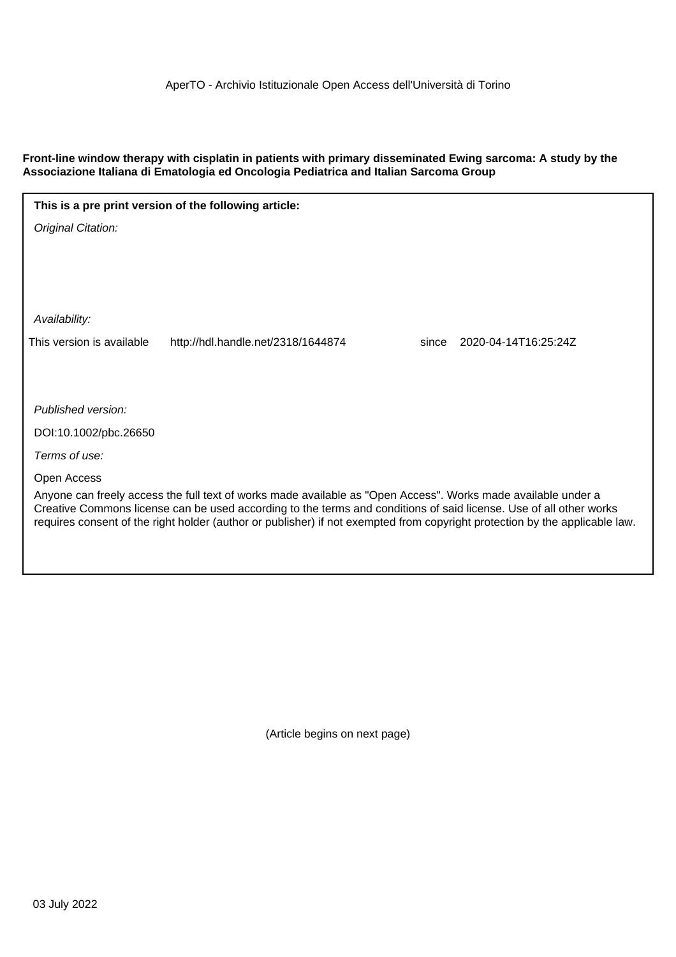# **Front-line window therapy with cisplatin in patients with primary disseminated Ewing sarcoma: A study by the Associazione Italiana di Ematologia ed Oncologia Pediatrica and Italian Sarcoma Group**

| This is a pre print version of the following article:                                                                                                                                                                                                                                                                                                              |                                    |                               |  |  |  |  |  |
|--------------------------------------------------------------------------------------------------------------------------------------------------------------------------------------------------------------------------------------------------------------------------------------------------------------------------------------------------------------------|------------------------------------|-------------------------------|--|--|--|--|--|
| Original Citation:                                                                                                                                                                                                                                                                                                                                                 |                                    |                               |  |  |  |  |  |
|                                                                                                                                                                                                                                                                                                                                                                    |                                    |                               |  |  |  |  |  |
|                                                                                                                                                                                                                                                                                                                                                                    |                                    |                               |  |  |  |  |  |
|                                                                                                                                                                                                                                                                                                                                                                    |                                    |                               |  |  |  |  |  |
| Availability:                                                                                                                                                                                                                                                                                                                                                      |                                    |                               |  |  |  |  |  |
| This version is available                                                                                                                                                                                                                                                                                                                                          | http://hdl.handle.net/2318/1644874 | 2020-04-14T16:25:24Z<br>since |  |  |  |  |  |
|                                                                                                                                                                                                                                                                                                                                                                    |                                    |                               |  |  |  |  |  |
|                                                                                                                                                                                                                                                                                                                                                                    |                                    |                               |  |  |  |  |  |
| Published version:                                                                                                                                                                                                                                                                                                                                                 |                                    |                               |  |  |  |  |  |
| DOI:10.1002/pbc.26650                                                                                                                                                                                                                                                                                                                                              |                                    |                               |  |  |  |  |  |
| Terms of use:                                                                                                                                                                                                                                                                                                                                                      |                                    |                               |  |  |  |  |  |
| Open Access                                                                                                                                                                                                                                                                                                                                                        |                                    |                               |  |  |  |  |  |
| Anyone can freely access the full text of works made available as "Open Access". Works made available under a<br>Creative Commons license can be used according to the terms and conditions of said license. Use of all other works<br>requires consent of the right holder (author or publisher) if not exempted from copyright protection by the applicable law. |                                    |                               |  |  |  |  |  |
|                                                                                                                                                                                                                                                                                                                                                                    |                                    |                               |  |  |  |  |  |

(Article begins on next page)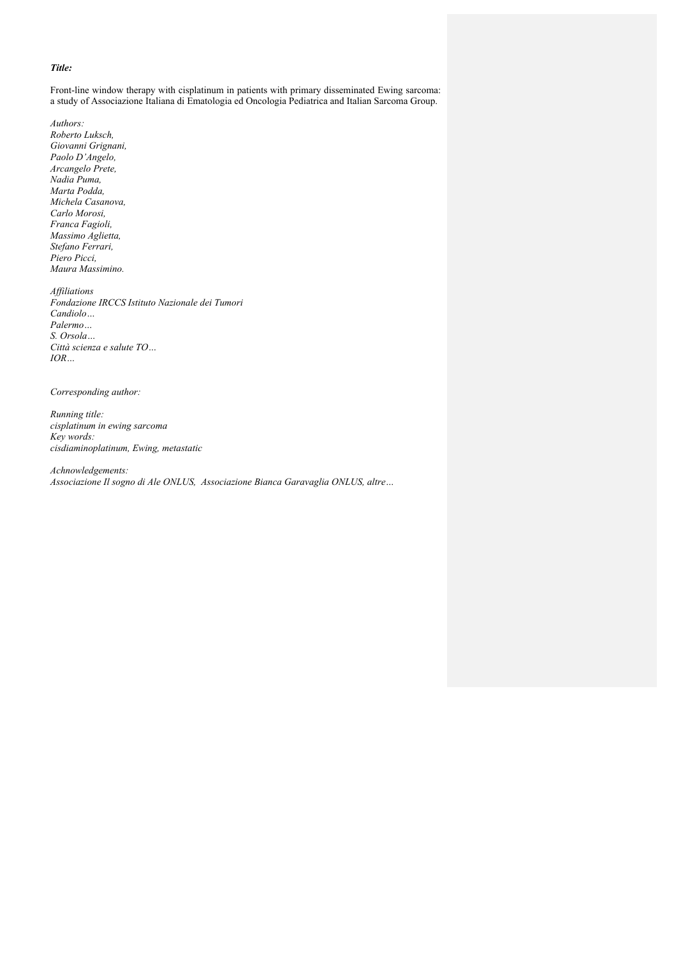## *Title:*

Front-line window therapy with cisplatinum in patients with primary disseminated Ewing sarcoma: a study of Associazione Italiana di Ematologia ed Oncologia Pediatrica and Italian Sarcoma Group.

*Authors: Roberto Luksch, Giovanni Grignani, Paolo D'Angelo, Arcangelo Prete, Nadia Puma, Marta Podda, Michela Casanova, Carlo Morosi, Franca Fagioli, Massimo Aglietta, Stefano Ferrari, Piero Picci, Maura Massimino.*

*Affiliations Fondazione IRCCS Istituto Nazionale dei Tumori Candiolo… Palermo… S. Orsola… Città scienza e salute TO… IOR…*

*Corresponding author:*

*Running title: cisplatinum in ewing sarcoma Key words: cisdiaminoplatinum, Ewing, metastatic* 

*Achnowledgements: Associazione Il sogno di Ale ONLUS, Associazione Bianca Garavaglia ONLUS, altre…*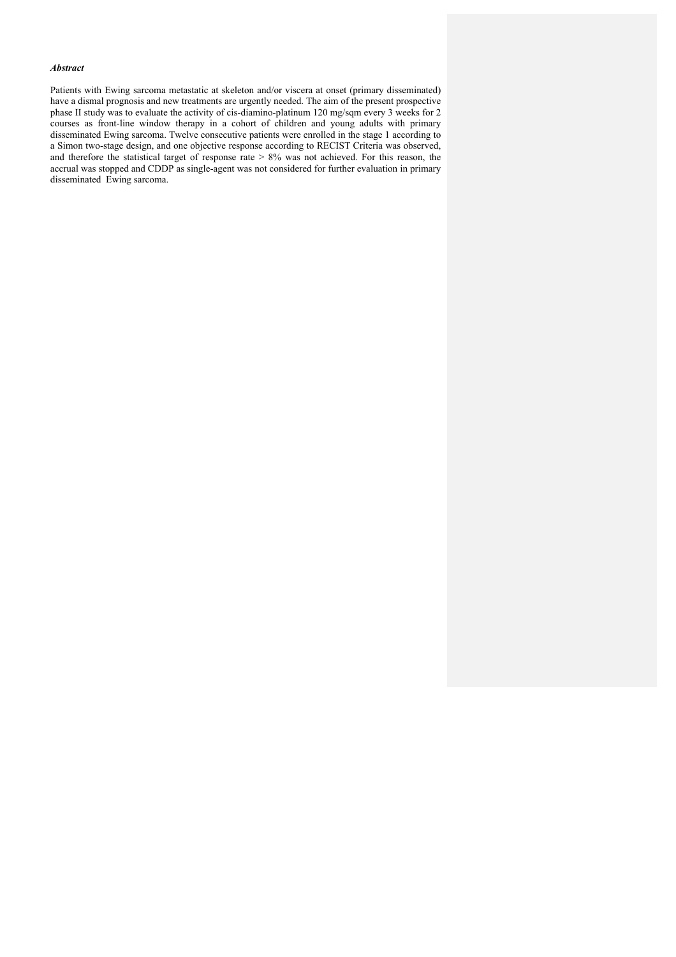## *Abstract*

Patients with Ewing sarcoma metastatic at skeleton and/or viscera at onset (primary disseminated) have a dismal prognosis and new treatments are urgently needed. The aim of the present prospective phase II study was to evaluate the activity of cis-diamino-platinum 120 mg/sqm every 3 weeks for 2 courses as front-line window therapy in a cohort of children and young adults with primary disseminated Ewing sarcoma. Twelve consecutive patients were enrolled in the stage 1 according to a Simon two-stage design, and one objective response according to RECIST Criteria was observed, and therefore the statistical target of response rate > 8% was not achieved. For this reason, the accrual was stopped and CDDP as single-agent was not considered for further evaluation in primary disseminated Ewing sarcoma.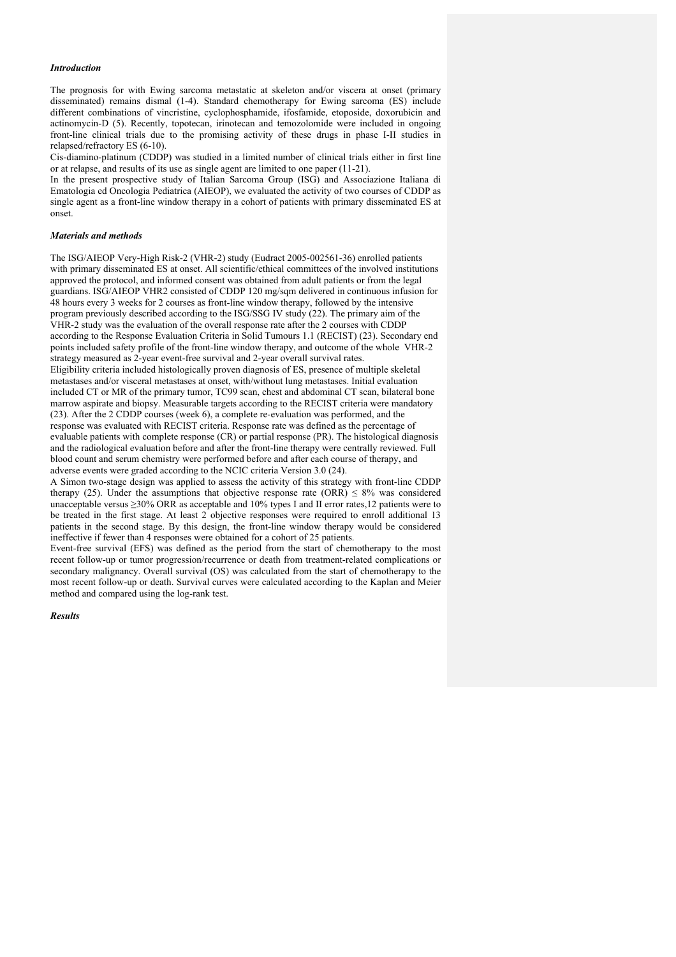### *Introduction*

The prognosis for with Ewing sarcoma metastatic at skeleton and/or viscera at onset (primary disseminated) remains dismal (1-4). Standard chemotherapy for Ewing sarcoma (ES) include different combinations of vincristine, cyclophosphamide, ifosfamide, etoposide, doxorubicin and actinomycin-D (5). Recently, topotecan, irinotecan and temozolomide were included in ongoing front-line clinical trials due to the promising activity of these drugs in phase I-II studies in relapsed/refractory ES (6-10).

Cis-diamino-platinum (CDDP) was studied in a limited number of clinical trials either in first line or at relapse, and results of its use as single agent are limited to one paper (11-21).

In the present prospective study of Italian Sarcoma Group (ISG) and Associazione Italiana di Ematologia ed Oncologia Pediatrica (AIEOP), we evaluated the activity of two courses of CDDP as single agent as a front-line window therapy in a cohort of patients with primary disseminated ES at onset.

### *Materials and methods*

The ISG/AIEOP Very-High Risk-2 (VHR-2) study (Eudract 2005-002561-36) enrolled patients with primary disseminated ES at onset. All scientific/ethical committees of the involved institutions approved the protocol, and informed consent was obtained from adult patients or from the legal guardians. ISG/AIEOP VHR2 consisted of CDDP 120 mg/sqm delivered in continuous infusion for 48 hours every 3 weeks for 2 courses as front-line window therapy, followed by the intensive program previously described according to the ISG/SSG IV study (22). The primary aim of the VHR-2 study was the evaluation of the overall response rate after the 2 courses with CDDP according to the Response Evaluation Criteria in Solid Tumours 1.1 (RECIST) (23). Secondary end points included safety profile of the front-line window therapy, and outcome of the whole VHR-2 strategy measured as 2-year event-free survival and 2-year overall survival rates. Eligibility criteria included histologically proven diagnosis of ES, presence of multiple skeletal metastases and/or visceral metastases at onset, with/without lung metastases. Initial evaluation included CT or MR of the primary tumor, TC99 scan, chest and abdominal CT scan, bilateral bone marrow aspirate and biopsy. Measurable targets according to the RECIST criteria were mandatory (23). After the 2 CDDP courses (week 6), a complete re-evaluation was performed, and the response was evaluated with RECIST criteria. Response rate was defined as the percentage of evaluable patients with complete response (CR) or partial response (PR). The histological diagnosis and the radiological evaluation before and after the front-line therapy were centrally reviewed. Full blood count and serum chemistry were performed before and after each course of therapy, and adverse events were graded according to the NCIC criteria Version 3.0 (24).

A Simon two-stage design was applied to assess the activity of this strategy with front-line CDDP therapy (25). Under the assumptions that objective response rate (ORR)  $\leq 8\%$  was considered unacceptable versus ≥30% ORR as acceptable and 10% types I and II error rates,12 patients were to be treated in the first stage. At least 2 objective responses were required to enroll additional 13 patients in the second stage. By this design, the front-line window therapy would be considered ineffective if fewer than 4 responses were obtained for a cohort of 25 patients.

Event-free survival (EFS) was defined as the period from the start of chemotherapy to the most recent follow-up or tumor progression/recurrence or death from treatment-related complications or secondary malignancy. Overall survival (OS) was calculated from the start of chemotherapy to the most recent follow-up or death. Survival curves were calculated according to the Kaplan and Meier method and compared using the log-rank test.

### *Results*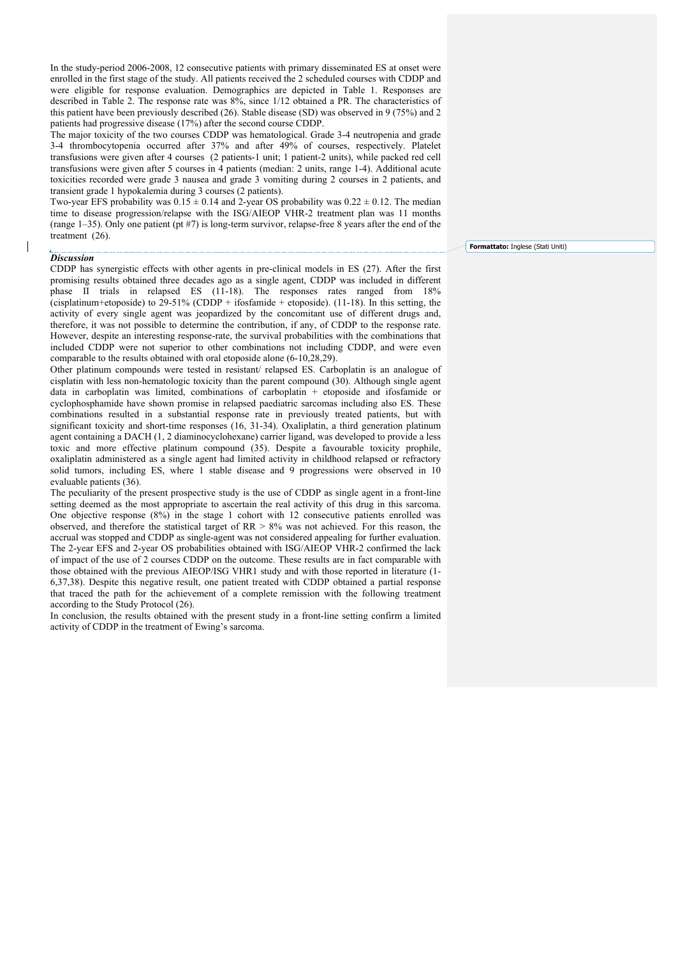In the study-period 2006-2008, 12 consecutive patients with primary disseminated ES at onset were enrolled in the first stage of the study. All patients received the 2 scheduled courses with CDDP and were eligible for response evaluation. Demographics are depicted in Table 1. Responses are described in Table 2. The response rate was 8%, since 1/12 obtained a PR. The characteristics of this patient have been previously described (26). Stable disease (SD) was observed in 9 (75%) and 2 patients had progressive disease (17%) after the second course CDDP.

The major toxicity of the two courses CDDP was hematological. Grade 3-4 neutropenia and grade 3-4 thrombocytopenia occurred after 37% and after 49% of courses, respectively. Platelet transfusions were given after 4 courses (2 patients-1 unit; 1 patient-2 units), while packed red cell transfusions were given after 5 courses in 4 patients (median: 2 units, range 1-4). Additional acute toxicities recorded were grade 3 nausea and grade 3 vomiting during 2 courses in 2 patients, and transient grade 1 hypokalemia during 3 courses (2 patients).

Two-year EFS probability was  $0.15 \pm 0.14$  and 2-year OS probability was  $0.22 \pm 0.12$ . The median time to disease progression/relapse with the ISG/AIEOP VHR-2 treatment plan was 11 months (range 1–35). Only one patient (pt #7) is long-term survivor, relapse-free 8 years after the end of the treatment (26).

#### *Discussion*

CDDP has synergistic effects with other agents in pre-clinical models in ES (27). After the first promising results obtained three decades ago as a single agent, CDDP was included in different phase II trials in relapsed ES (11-18). The responses rates ranged from 18% (cisplatinum+etoposide) to 29-51% (CDDP + ifosfamide + etoposide). (11-18). In this setting, the activity of every single agent was jeopardized by the concomitant use of different drugs and, therefore, it was not possible to determine the contribution, if any, of CDDP to the response rate. However, despite an interesting response-rate, the survival probabilities with the combinations that included CDDP were not superior to other combinations not including CDDP, and were even comparable to the results obtained with oral etoposide alone (6-10,28,29).

Other platinum compounds were tested in resistant/ relapsed ES. Carboplatin is an analogue of cisplatin with less non-hematologic toxicity than the parent compound (30). Although single agent data in carboplatin was limited, combinations of carboplatin + etoposide and ifosfamide or cyclophosphamide have shown promise in relapsed paediatric sarcomas including also ES. These combinations resulted in a substantial response rate in previously treated patients, but with significant toxicity and short-time responses (16, 31-34). Oxaliplatin, a third generation platinum agent containing a DACH (1, 2 diaminocyclohexane) carrier ligand, was developed to provide a less toxic and more effective platinum compound (35). Despite a favourable toxicity prophile, oxaliplatin administered as a single agent had limited activity in childhood relapsed or refractory solid tumors, including ES, where 1 stable disease and 9 progressions were observed in 10 evaluable patients (36).

The peculiarity of the present prospective study is the use of CDDP as single agent in a front-line setting deemed as the most appropriate to ascertain the real activity of this drug in this sarcoma. One objective response (8%) in the stage 1 cohort with 12 consecutive patients enrolled was observed, and therefore the statistical target of  $RR > 8%$  was not achieved. For this reason, the accrual was stopped and CDDP as single-agent was not considered appealing for further evaluation. The 2-year EFS and 2-year OS probabilities obtained with ISG/AIEOP VHR-2 confirmed the lack of impact of the use of 2 courses CDDP on the outcome. These results are in fact comparable with those obtained with the previous AIEOP/ISG VHR1 study and with those reported in literature (1- 6,37,38). Despite this negative result, one patient treated with CDDP obtained a partial response that traced the path for the achievement of a complete remission with the following treatment according to the Study Protocol (26).

In conclusion, the results obtained with the present study in a front-line setting confirm a limited activity of CDDP in the treatment of Ewing's sarcoma.

**Formattato:** Inglese (Stati Uniti)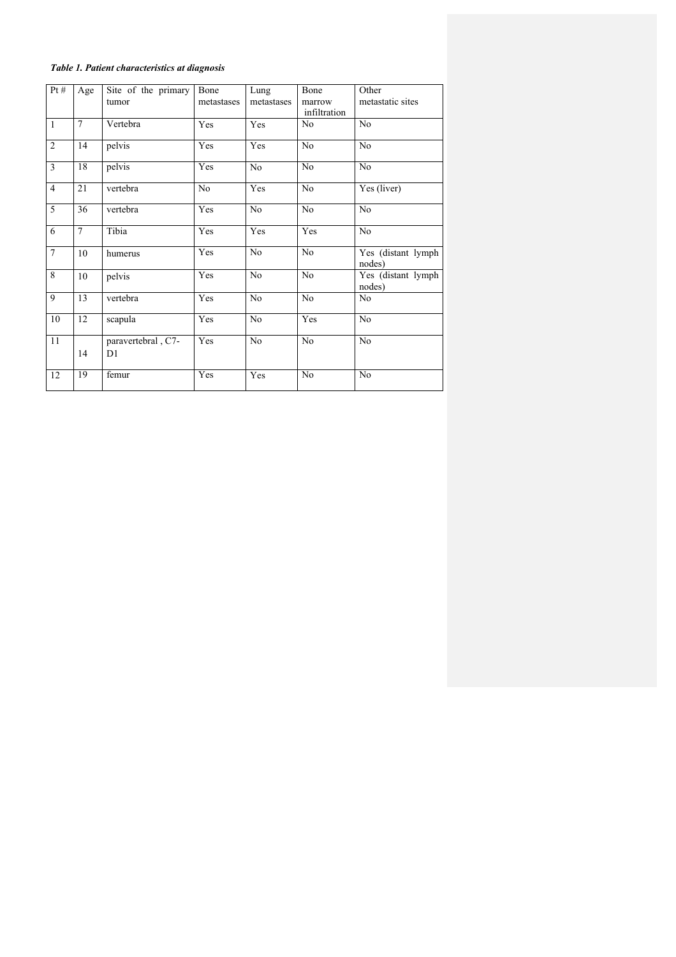# *Table 1. Patient characteristics at diagnosis*

| Pt#            | Age            | Site of the primary                  | Bone           | Lung           | Bone                   | Other                         |
|----------------|----------------|--------------------------------------|----------------|----------------|------------------------|-------------------------------|
|                |                | tumor                                | metastases     | metastases     | marrow<br>infiltration | metastatic sites              |
| $\mathbf{1}$   | $\tau$         | Vertebra                             | Yes            | Yes            | N <sub>0</sub>         | No                            |
| $\overline{2}$ | 14             | pelvis                               | Yes            | Yes            | No                     | No                            |
| $\overline{3}$ | 18             | pelvis                               | Yes            | No             | N <sub>0</sub>         | N <sub>0</sub>                |
| $\overline{4}$ | 21             | vertebra                             | N <sub>0</sub> | Yes            | N <sub>0</sub>         | Yes (liver)                   |
| 5              | 36             | vertebra                             | Yes            | No             | N <sub>0</sub>         | N <sub>0</sub>                |
| 6              | $\overline{7}$ | Tibia                                | Yes            | Yes            | Yes                    | No                            |
| $\overline{7}$ | 10             | humerus                              | Yes            | N <sub>0</sub> | N <sub>0</sub>         | Yes (distant lymph<br>nodes)  |
| 8              | 10             | pelvis                               | Yes            | N <sub>0</sub> | No                     | Yes (distant lymph)<br>nodes) |
| 9              | 13             | vertebra                             | Yes            | N <sub>0</sub> | N <sub>o</sub>         | N <sub>0</sub>                |
| 10             | 12             | scapula                              | Yes            | N <sub>0</sub> | Yes                    | N <sub>0</sub>                |
| 11             | 14             | paravertebral, C7-<br>D <sub>1</sub> | Yes            | N <sub>0</sub> | N <sub>o</sub>         | N <sub>0</sub>                |
| 12             | 19             | femur                                | Yes            | Yes            | N <sub>0</sub>         | N <sub>0</sub>                |
|                |                |                                      |                |                |                        |                               |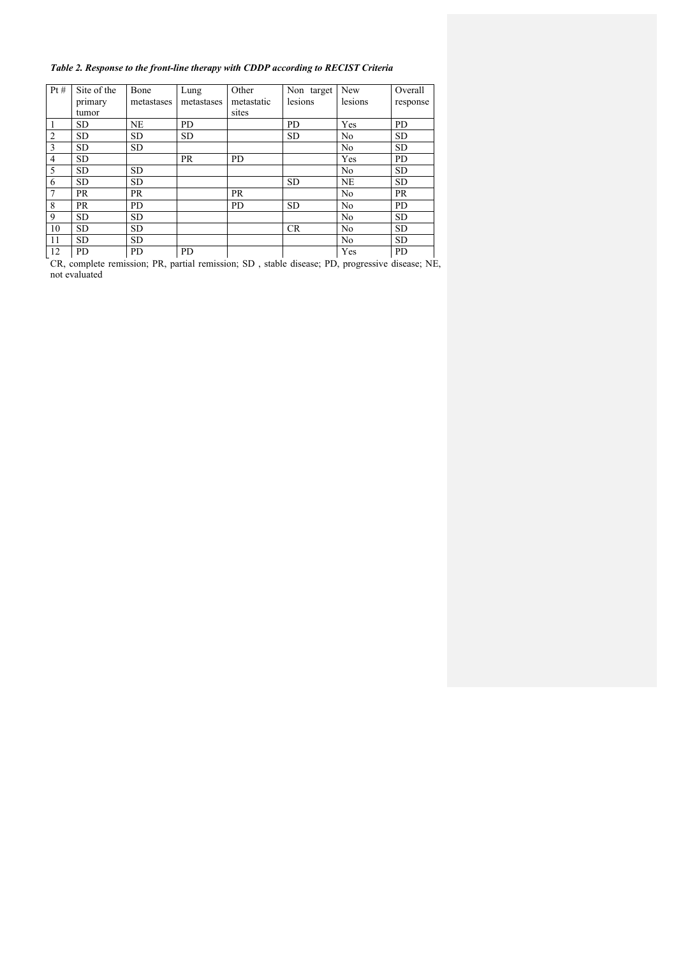# *Table 2. Response to the front-line therapy with CDDP according to RECIST Criteria*

| Pt#            | Site of the | Bone       | Lung       | Other      | Non target | New            | Overall   |
|----------------|-------------|------------|------------|------------|------------|----------------|-----------|
|                | primary     | metastases | metastases | metastatic | lesions    | lesions        | response  |
|                | tumor       |            |            | sites      |            |                |           |
|                | <b>SD</b>   | <b>NE</b>  | <b>PD</b>  |            | PD         | Yes            | <b>PD</b> |
| $\overline{2}$ | <b>SD</b>   | <b>SD</b>  | <b>SD</b>  |            | <b>SD</b>  | No             | <b>SD</b> |
| 3              | <b>SD</b>   | <b>SD</b>  |            |            |            | No             | <b>SD</b> |
| $\overline{4}$ | <b>SD</b>   |            | <b>PR</b>  | <b>PD</b>  |            | Yes            | <b>PD</b> |
| 5              | <b>SD</b>   | <b>SD</b>  |            |            |            | No             | <b>SD</b> |
| 6              | <b>SD</b>   | <b>SD</b>  |            |            | <b>SD</b>  | <b>NE</b>      | <b>SD</b> |
| $\overline{7}$ | <b>PR</b>   | <b>PR</b>  |            | <b>PR</b>  |            | No             | <b>PR</b> |
| 8              | <b>PR</b>   | <b>PD</b>  |            | <b>PD</b>  | <b>SD</b>  | No             | <b>PD</b> |
| 9              | <b>SD</b>   | <b>SD</b>  |            |            |            | N <sub>0</sub> | <b>SD</b> |
| 10             | <b>SD</b>   | <b>SD</b>  |            |            | <b>CR</b>  | N <sub>0</sub> | <b>SD</b> |
| 11             | <b>SD</b>   | <b>SD</b>  |            |            |            | N <sub>0</sub> | <b>SD</b> |
| 12             | <b>PD</b>   | PD.        | <b>PD</b>  |            |            | Yes            | <b>PD</b> |

CR, complete remission; PR, partial remission; SD , stable disease; PD, progressive disease; NE, not evaluated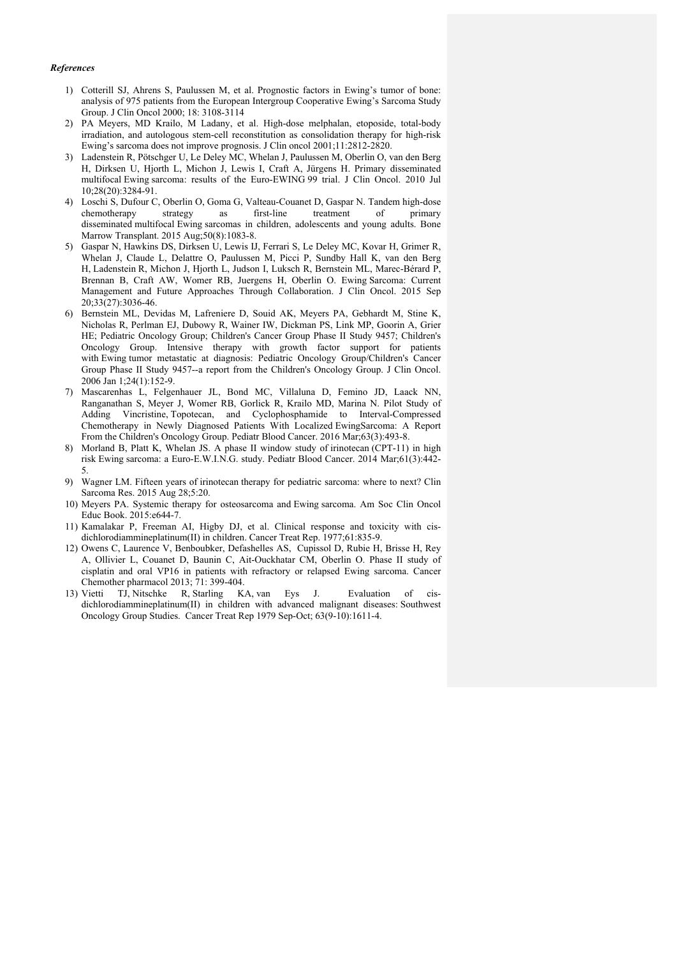### *References*

- 1) Cotterill SJ, Ahrens S, Paulussen M, et al. Prognostic factors in Ewing's tumor of bone: analysis of 975 patients from the European Intergroup Cooperative Ewing's Sarcoma Study Group. J Clin Oncol 2000; 18: 3108-3114
- 2) PA Meyers, MD Krailo, M Ladany, et al. High-dose melphalan, etoposide, total-body irradiation, and autologous stem-cell reconstitution as consolidation therapy for high-risk Ewing's sarcoma does not improve prognosis. J Clin oncol 2001;11:2812-2820.
- 3) Ladenstein R, Pötschger U, Le Deley MC, Whelan J, Paulussen M, Oberlin O, van den Berg H, Dirksen U, Hjorth L, Michon J, Lewis I, Craft A, Jürgens H. Primary disseminated multifocal Ewing sarcoma: results of the Euro-EWING 99 trial. J Clin Oncol. 2010 Jul 10;28(20):3284-91.
- 4) Loschi S, Dufour C, Oberlin O, Goma G, Valteau-Couanet D, Gaspar N. Tandem high-dose chemotherapy strategy as first-line treatment of primary disseminated multifocal Ewing sarcomas in children, adolescents and young adults. Bone Marrow Transplant. 2015 Aug;50(8):1083-8.
- 5) Gaspar N, Hawkins DS, Dirksen U, Lewis IJ, Ferrari S, Le Deley MC, Kovar H, Grimer R, Whelan J, Claude L, Delattre O, Paulussen M, Picci P, Sundby Hall K, van den Berg H, Ladenstein R, Michon J, Hjorth L, Judson I, Luksch R, Bernstein ML, Marec-Bérard P, Brennan B, Craft AW, Womer RB, Juergens H, Oberlin O. Ewing Sarcoma: Current Management and Future Approaches Through Collaboration. J Clin Oncol. 2015 Sep 20;33(27):3036-46.
- 6) Bernstein ML, Devidas M, Lafreniere D, Souid AK, Meyers PA, Gebhardt M, Stine K, Nicholas R, Perlman EJ, Dubowy R, Wainer IW, Dickman PS, Link MP, Goorin A, Grier HE; Pediatric Oncology Group; Children's Cancer Group Phase II Study 9457; Children's Oncology Group. Intensive therapy with growth factor support for patients with Ewing tumor metastatic at diagnosis: Pediatric Oncology Group/Children's Cancer Group Phase II Study 9457--a report from the Children's Oncology Group. J Clin Oncol. 2006 Jan 1;24(1):152-9.
- 7) Mascarenhas L, Felgenhauer JL, Bond MC, Villaluna D, Femino JD, Laack NN, Ranganathan S, Meyer J, Womer RB, Gorlick R, Krailo MD, Marina N. Pilot Study of Adding Vincristine, Topotecan, and Cyclophosphamide to Interval-Compressed Chemotherapy in Newly Diagnosed Patients With Localized EwingSarcoma: A Report From the Children's Oncology Group. Pediatr Blood Cancer. 2016 Mar;63(3):493-8.
- 8) Morland B, Platt K, Whelan JS. A phase II window study of irinotecan (CPT-11) in high risk Ewing sarcoma: a Euro-E.W.I.N.G. study. Pediatr Blood Cancer. 2014 Mar;61(3):442- 5.
- 9) Wagner LM. Fifteen years of irinotecan therapy for pediatric sarcoma: where to next? Clin Sarcoma Res. 2015 Aug 28;5:20.
- 10) Meyers PA. Systemic therapy for osteosarcoma and Ewing sarcoma. Am Soc Clin Oncol Educ Book. 2015:e644-7.
- 11) Kamalakar P, Freeman AI, Higby DJ, et al. Clinical response and toxicity with cisdichlorodiammineplatinum(II) in children. Cancer Treat Rep. 1977;61:835-9.
- 12) Owens C, Laurence V, Benboubker, Defashelles AS, Cupissol D, Rubie H, Brisse H, Rey A, Ollivier L, Couanet D, Baunin C, Ait-Ouckhatar CM, Oberlin O. Phase II study of cisplatin and oral VP16 in patients with refractory or relapsed Ewing sarcoma. Cancer Chemother pharmacol 2013; 71: 399-404.
- 13) Vietti TJ, Nitschke R, Starling KA, van Eys J. Evaluation of cisdichlorodiammineplatinum(II) in children with advanced malignant diseases: Southwest Oncology Group Studies. Cancer Treat Rep 1979 Sep-Oct; 63(9-10):1611-4.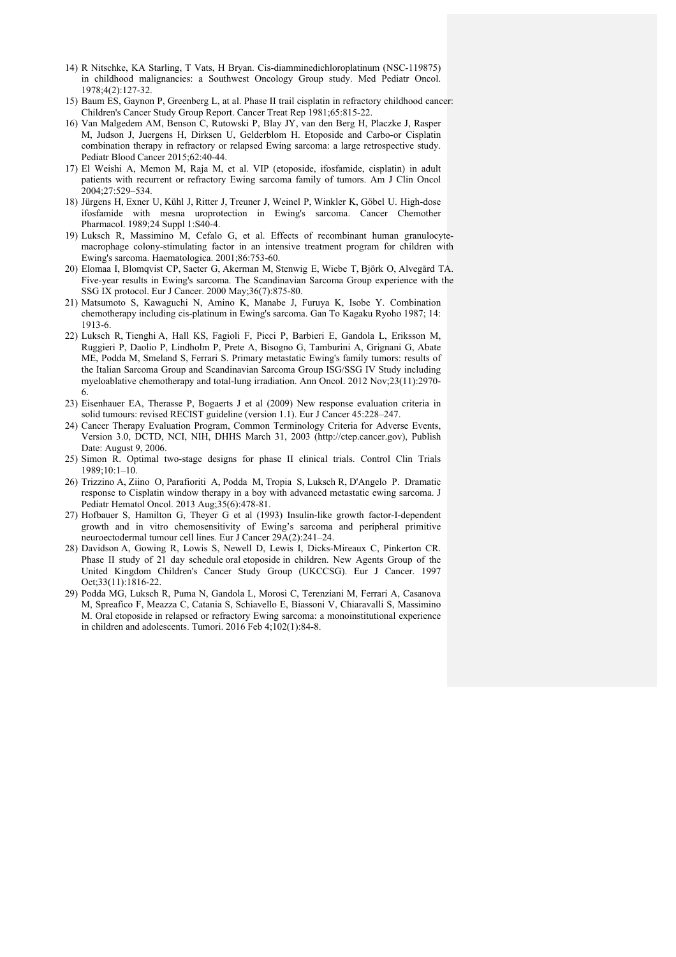- 14) R Nitschke, KA Starling, T Vats, H Bryan. Cis-diamminedichloroplatinum (NSC-119875) in childhood malignancies: a Southwest Oncology Group study. Med Pediatr Oncol. 1978;4(2):127-32.
- 15) Baum ES, Gaynon P, Greenberg L, at al. Phase II trail cisplatin in refractory childhood cancer: Children's Cancer Study Group Report. Cancer Treat Rep 1981;65:815-22.
- 16) Van Malgedem AM, Benson C, Rutowski P, Blay JY, van den Berg H, Placzke J, Rasper M, Judson J, Juergens H, Dirksen U, Gelderblom H. Etoposide and Carbo-or Cisplatin combination therapy in refractory or relapsed Ewing sarcoma: a large retrospective study. Pediatr Blood Cancer 2015;62:40-44.
- 17) El Weishi A, Memon M, Raja M, et al. VIP (etoposide, ifosfamide, cisplatin) in adult patients with recurrent or refractory Ewing sarcoma family of tumors. Am J Clin Oncol 2004;27:529–534.
- 18) Jürgens H, Exner U, Kühl J, Ritter J, Treuner J, Weinel P, Winkler K, Göbel U. High-dose ifosfamide with mesna uroprotection in Ewing's sarcoma. Cancer Chemother Pharmacol. 1989;24 Suppl 1:S40-4.
- 19) Luksch R, Massimino M, Cefalo G, et al. Effects of recombinant human granulocytemacrophage colony-stimulating factor in an intensive treatment program for children with Ewing's sarcoma. Haematologica. 2001;86:753-60.
- 20) Elomaa I, Blomqvist CP, Saeter G, Akerman M, Stenwig E, Wiebe T, Björk O, Alvegård TA. Five-year results in Ewing's sarcoma. The Scandinavian Sarcoma Group experience with the SSG IX protocol. Eur J Cancer. 2000 May;36(7):875-80.
- 21) Matsumoto S, Kawaguchi N, Amino K, Manabe J, Furuya K, Isobe Y. Combination chemotherapy including cis-platinum in Ewing's sarcoma. Gan To Kagaku Ryoho 1987; 14: 1913-6.
- 22) Luksch R, Tienghi A, Hall KS, Fagioli F, Picci P, Barbieri E, Gandola L, Eriksson M, Ruggieri P, Daolio P, Lindholm P, Prete A, Bisogno G, Tamburini A, Grignani G, Abate ME, Podda M, Smeland S, Ferrari S. Primary metastatic Ewing's family tumors: results of the Italian Sarcoma Group and Scandinavian Sarcoma Group ISG/SSG IV Study including myeloablative chemotherapy and total-lung irradiation. Ann Oncol. 2012 Nov;23(11):2970- 6.
- 23) Eisenhauer EA, Therasse P, Bogaerts J et al (2009) New response evaluation criteria in solid tumours: revised RECIST guideline (version 1.1). Eur J Cancer 45:228–247.
- 24) Cancer Therapy Evaluation Program, Common Terminology Criteria for Adverse Events, Version 3.0, DCTD, NCI, NIH, DHHS March 31, 2003 (http://ctep.cancer.gov), Publish Date: August 9, 2006.
- 25) Simon R. Optimal two-stage designs for phase II clinical trials. Control Clin Trials 1989;10:1–10.
- 26) Trizzino A, Ziino O, Parafioriti A, Podda M, Tropia S, Luksch R, D'Angelo P. Dramatic response to Cisplatin window therapy in a boy with advanced metastatic ewing sarcoma. J Pediatr Hematol Oncol. 2013 Aug;35(6):478-81.
- 27) Hofbauer S, Hamilton G, Theyer G et al (1993) Insulin-like growth factor-I-dependent growth and in vitro chemosensitivity of Ewing's sarcoma and peripheral primitive neuroectodermal tumour cell lines. Eur J Cancer 29A(2):241–24.
- 28) Davidson A, Gowing R, Lowis S, Newell D, Lewis I, Dicks-Mireaux C, Pinkerton CR. Phase II study of 21 day schedule oral etoposide in children. New Agents Group of the United Kingdom Children's Cancer Study Group (UKCCSG). Eur J Cancer. 1997 Oct;33(11):1816-22.
- 29) Podda MG, Luksch R, Puma N, Gandola L, Morosi C, Terenziani M, Ferrari A, Casanova M, Spreafico F, Meazza C, Catania S, Schiavello E, Biassoni V, Chiaravalli S, Massimino M. Oral etoposide in relapsed or refractory Ewing sarcoma: a monoinstitutional experience in children and adolescents. Tumori. 2016 Feb 4;102(1):84-8.